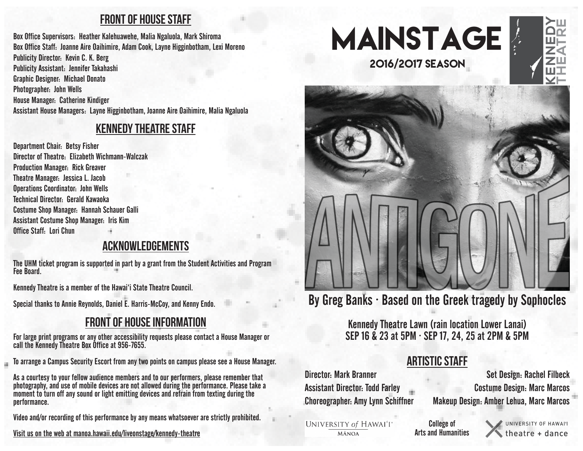#### front of house staff

Box Office Supervisors: Heather Kalehuawehe, Malia Ngaluola, Mark Shiroma Box Office Staff: Joanne Aire Oaihimire, Adam Cook, Layne Higginbotham, Lexi Moreno Publicity Director: Kevin C. K. Berg Publicity Assistant: Jennifer Takahashi Graphic Designer: Michael Donato Photographer: John Wells House Manager: Catherine Kindiger Assistant House Managers: Layne Higginbotham, Joanne Aire Oaihimire, Malia Ngaluola

#### kennedy theatre staff

Department Chair: Betsy Fisher Director of Theatre: Elizabeth Wichmann-Walczak Production Manager: Rick Greaver Theatre Manager: Jessica L. Jacob Operations Coordinator: John Wells Technical Director: Gerald Kawaoka Costume Shop Manager: Hannah Schauer Galli Assistant Costume Shop Manager: Iris Kim Office Staff: Lori Chun

in.

### acknowledgements

The UHM ticket program is supported in part by a grant from the Student Activities and Program Fee Board.

Kennedy Theatre is a member of the Hawai'i State Theatre Council.

Special thanks to Annie Reynolds, Daniel E. Harris-McCoy, and Kenny Endo.

### front of house information

For large print programs or any other accessibility requests please contact a House Manager or call the Kennedy Theatre Box Office at 956-7655.

To arrange a Campus Security Escort from any two points on campus please see a House Manager.

As a courtesy to your fellow audience members and to our performers, please remember that photography, and use of mobile devices are not allowed during the performance. Please take a moment to turn off any sound or light emitting devices and refrain from texting during the performance.

Video and/or recording of this performance by any means whatsoever are strictly prohibited.

Visit us on the web at manoa.hawaii.edu/liveonstage/kennedy-theatre







# By Greg Banks ∙ Based on the Greek tragedy by Sophocles

Kennedy Theatre Lawn (rain location Lower Lanai) SEP 16 & 23 at 5PM ∙ SEP 17, 24, 25 at 2PM & 5PM

## Artistic Staff

Set Design: Rachel Filbeck Costume Design: Marc Marcos Makeup Design: Amber Lehua, Marc Marcos

**UNIVERSITY of HAWAI'I**\* **MĀNOA** 

Assistant Director: Todd Farley

Choreographer: Amy Lynn Schiffner

Director: Mark Branner

College of Arts and Humanities

UNIVERSITY OF HAWAI'L theatre + dance